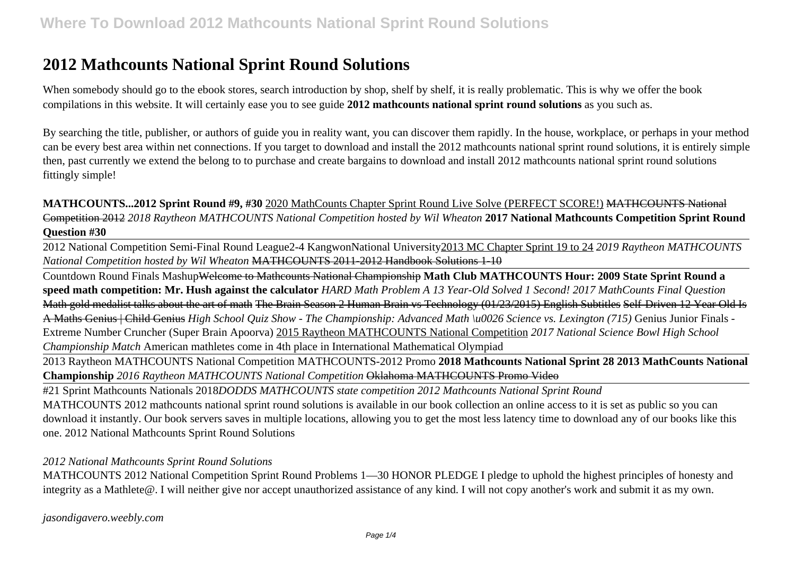# **2012 Mathcounts National Sprint Round Solutions**

When somebody should go to the ebook stores, search introduction by shop, shelf by shelf, it is really problematic. This is why we offer the book compilations in this website. It will certainly ease you to see guide **2012 mathcounts national sprint round solutions** as you such as.

By searching the title, publisher, or authors of guide you in reality want, you can discover them rapidly. In the house, workplace, or perhaps in your method can be every best area within net connections. If you target to download and install the 2012 mathcounts national sprint round solutions, it is entirely simple then, past currently we extend the belong to to purchase and create bargains to download and install 2012 mathcounts national sprint round solutions fittingly simple!

**MATHCOUNTS...2012 Sprint Round #9, #30** 2020 MathCounts Chapter Sprint Round Live Solve (PERFECT SCORE!) MATHCOUNTS National Competition 2012 *2018 Raytheon MATHCOUNTS National Competition hosted by Wil Wheaton* **2017 National Mathcounts Competition Sprint Round Question #30**

2012 National Competition Semi-Final Round League2-4 KangwonNational University2013 MC Chapter Sprint 19 to 24 *2019 Raytheon MATHCOUNTS National Competition hosted by Wil Wheaton* MATHCOUNTS 2011-2012 Handbook Solutions 1-10

Countdown Round Finals MashupWelcome to Mathcounts National Championship **Math Club MATHCOUNTS Hour: 2009 State Sprint Round a speed math competition: Mr. Hush against the calculator** *HARD Math Problem A 13 Year-Old Solved 1 Second! 2017 MathCounts Final Question* Math gold medalist talks about the art of math The Brain Season 2 Human Brain vs Technology (01/23/2015) English Subtitles Self-Driven 12 Year Old Is A Maths Genius | Child Genius *High School Quiz Show - The Championship: Advanced Math \u0026 Science vs. Lexington (715)* Genius Junior Finals - Extreme Number Cruncher (Super Brain Apoorva) 2015 Raytheon MATHCOUNTS National Competition *2017 National Science Bowl High School Championship Match* American mathletes come in 4th place in International Mathematical Olympiad

2013 Raytheon MATHCOUNTS National Competition MATHCOUNTS-2012 Promo **2018 Mathcounts National Sprint 28 2013 MathCounts National Championship** *2016 Raytheon MATHCOUNTS National Competition* Oklahoma MATHCOUNTS Promo Video

#21 Sprint Mathcounts Nationals 2018*DODDS MATHCOUNTS state competition 2012 Mathcounts National Sprint Round* MATHCOUNTS 2012 mathcounts national sprint round solutions is available in our book collection an online access to it is set as public so you can download it instantly. Our book servers saves in multiple locations, allowing you to get the most less latency time to download any of our books like this one. 2012 National Mathcounts Sprint Round Solutions

### *2012 National Mathcounts Sprint Round Solutions*

MATHCOUNTS 2012 National Competition Sprint Round Problems 1—30 HONOR PLEDGE I pledge to uphold the highest principles of honesty and integrity as a Mathlete@. I will neither give nor accept unauthorized assistance of any kind. I will not copy another's work and submit it as my own.

*jasondigavero.weebly.com*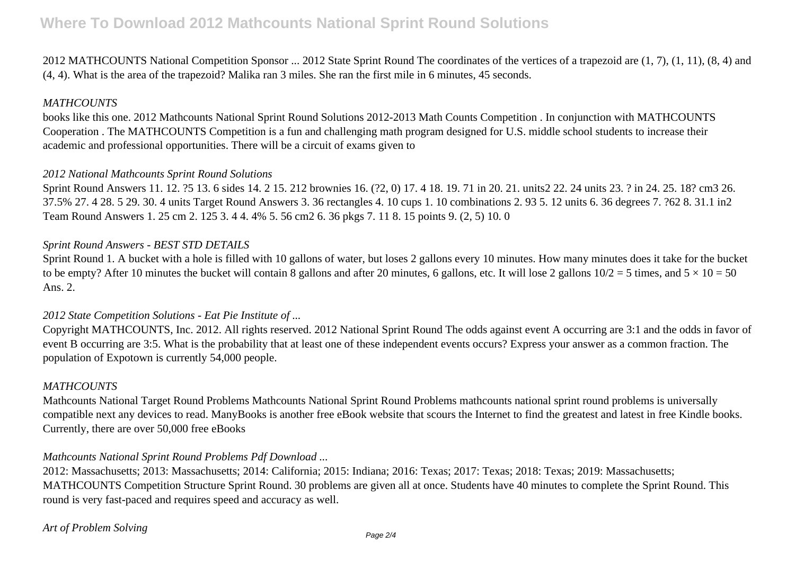# **Where To Download 2012 Mathcounts National Sprint Round Solutions**

2012 MATHCOUNTS National Competition Sponsor ... 2012 State Sprint Round The coordinates of the vertices of a trapezoid are (1, 7), (1, 11), (8, 4) and (4, 4). What is the area of the trapezoid? Malika ran 3 miles. She ran the first mile in 6 minutes, 45 seconds.

### *MATHCOUNTS*

books like this one. 2012 Mathcounts National Sprint Round Solutions 2012-2013 Math Counts Competition . In conjunction with MATHCOUNTS Cooperation . The MATHCOUNTS Competition is a fun and challenging math program designed for U.S. middle school students to increase their academic and professional opportunities. There will be a circuit of exams given to

#### *2012 National Mathcounts Sprint Round Solutions*

Sprint Round Answers 11. 12. ?5 13. 6 sides 14. 2 15. 212 brownies 16. (?2, 0) 17. 4 18. 19. 71 in 20. 21. units2 22. 24 units 23. ? in 24. 25. 18? cm3 26. 37.5% 27. 4 28. 5 29. 30. 4 units Target Round Answers 3. 36 rectangles 4. 10 cups 1. 10 combinations 2. 93 5. 12 units 6. 36 degrees 7. ?62 8. 31.1 in2 Team Round Answers 1. 25 cm 2. 125 3. 4 4. 4% 5. 56 cm2 6. 36 pkgs 7. 11 8. 15 points 9. (2, 5) 10. 0

### *Sprint Round Answers - BEST STD DETAILS*

Sprint Round 1. A bucket with a hole is filled with 10 gallons of water, but loses 2 gallons every 10 minutes. How many minutes does it take for the bucket to be empty? After 10 minutes the bucket will contain 8 gallons and after 20 minutes, 6 gallons, etc. It will lose 2 gallons  $10/2 = 5$  times, and  $5 \times 10 = 50$ Ans. 2.

### *2012 State Competition Solutions - Eat Pie Institute of ...*

Copyright MATHCOUNTS, Inc. 2012. All rights reserved. 2012 National Sprint Round The odds against event A occurring are 3:1 and the odds in favor of event B occurring are 3:5. What is the probability that at least one of these independent events occurs? Express your answer as a common fraction. The population of Expotown is currently 54,000 people.

### *MATHCOUNTS*

Mathcounts National Target Round Problems Mathcounts National Sprint Round Problems mathcounts national sprint round problems is universally compatible next any devices to read. ManyBooks is another free eBook website that scours the Internet to find the greatest and latest in free Kindle books. Currently, there are over 50,000 free eBooks

### *Mathcounts National Sprint Round Problems Pdf Download ...*

2012: Massachusetts; 2013: Massachusetts; 2014: California; 2015: Indiana; 2016: Texas; 2017: Texas; 2018: Texas; 2019: Massachusetts; MATHCOUNTS Competition Structure Sprint Round. 30 problems are given all at once. Students have 40 minutes to complete the Sprint Round. This round is very fast-paced and requires speed and accuracy as well.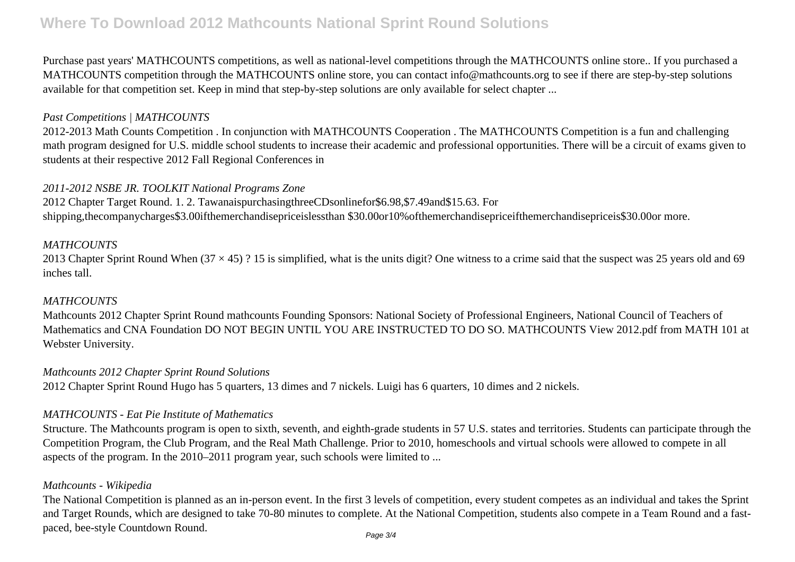# **Where To Download 2012 Mathcounts National Sprint Round Solutions**

Purchase past years' MATHCOUNTS competitions, as well as national-level competitions through the MATHCOUNTS online store.. If you purchased a MATHCOUNTS competition through the MATHCOUNTS online store, you can contact info@mathcounts.org to see if there are step-by-step solutions available for that competition set. Keep in mind that step-by-step solutions are only available for select chapter ...

### *Past Competitions | MATHCOUNTS*

2012-2013 Math Counts Competition . In conjunction with MATHCOUNTS Cooperation . The MATHCOUNTS Competition is a fun and challenging math program designed for U.S. middle school students to increase their academic and professional opportunities. There will be a circuit of exams given to students at their respective 2012 Fall Regional Conferences in

### *2011-2012 NSBE JR. TOOLKIT National Programs Zone*

2012 Chapter Target Round. 1. 2. TawanaispurchasingthreeCDsonlinefor\$6.98,\$7.49and\$15.63. For shipping,thecompanycharges\$3.00ifthemerchandisepriceislessthan \$30.00or10%ofthemerchandisepriceifthemerchandisepriceis\$30.00or more.

### *MATHCOUNTS*

2013 Chapter Sprint Round When  $(37 \times 45)$ ? 15 is simplified, what is the units digit? One witness to a crime said that the suspect was 25 years old and 69 inches tall.

## *MATHCOUNTS*

Mathcounts 2012 Chapter Sprint Round mathcounts Founding Sponsors: National Society of Professional Engineers, National Council of Teachers of Mathematics and CNA Foundation DO NOT BEGIN UNTIL YOU ARE INSTRUCTED TO DO SO. MATHCOUNTS View 2012.pdf from MATH 101 at Webster University.

### *Mathcounts 2012 Chapter Sprint Round Solutions*

2012 Chapter Sprint Round Hugo has 5 quarters, 13 dimes and 7 nickels. Luigi has 6 quarters, 10 dimes and 2 nickels.

### *MATHCOUNTS - Eat Pie Institute of Mathematics*

Structure. The Mathcounts program is open to sixth, seventh, and eighth-grade students in 57 U.S. states and territories. Students can participate through the Competition Program, the Club Program, and the Real Math Challenge. Prior to 2010, homeschools and virtual schools were allowed to compete in all aspects of the program. In the 2010–2011 program year, such schools were limited to ...

## *Mathcounts - Wikipedia*

The National Competition is planned as an in-person event. In the first 3 levels of competition, every student competes as an individual and takes the Sprint and Target Rounds, which are designed to take 70-80 minutes to complete. At the National Competition, students also compete in a Team Round and a fastpaced, bee-style Countdown Round. Page 3/4